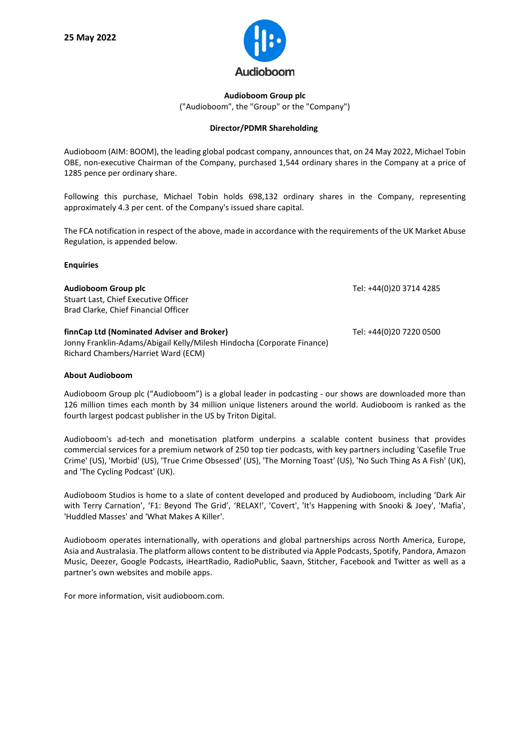

## **Audioboom Group plc** ("Audioboom", the "Group" or the "Company")

## **Director/PDMR Shareholding**

Audioboom (AIM: BOOM), the leading global podcast company, announces that, on 24 May 2022, Michael Tobin OBE, non-executive Chairman of the Company, purchased 1,544 ordinary shares in the Company at a price of 1285 pence per ordinary share.

Following this purchase, Michael Tobin holds 698,132 ordinary shares in the Company, representing approximately 4.3 per cent. of the Company's issued share capital.

The FCA notification in respect of the above, made in accordance with the requirements of the UK Market Abuse Regulation, is appended below.

## **Enquiries**

| Audioboom Group plc<br>Stuart Last, Chief Executive Officer<br>Brad Clarke, Chief Financial Officer                                                         | Tel: +44(0)20 3714 4285 |
|-------------------------------------------------------------------------------------------------------------------------------------------------------------|-------------------------|
| finnCap Ltd (Nominated Adviser and Broker)<br>Jonny Franklin-Adams/Abigail Kelly/Milesh Hindocha (Corporate Finance)<br>Richard Chambers/Harriet Ward (ECM) | Tel: +44(0)20 7220 0500 |

## **About Audioboom**

Audioboom Group plc ("Audioboom") is a global leader in podcasting - our shows are downloaded more than 126 million times each month by 34 million unique listeners around the world. Audioboom is ranked as the fourth largest podcast publisher in the US by Triton Digital.

Audioboom's ad-tech and monetisation platform underpins a scalable content business that provides commercial services for a premium network of 250 top tier podcasts, with key partners including 'Casefile True Crime' (US), 'Morbid' (US), 'True Crime Obsessed' (US), 'The Morning Toast' (US), 'No Such Thing As A Fish' (UK), and 'The Cycling Podcast' (UK).

Audioboom Studios is home to a slate of content developed and produced by Audioboom, including 'Dark Air with Terry Carnation', 'F1: Beyond The Grid', 'RELAX!', 'Covert', 'It's Happening with Snooki & Joey', 'Mafia', 'Huddled Masses' and 'What Makes A Killer'.

Audioboom operates internationally, with operations and global partnerships across North America, Europe, Asia and Australasia. The platform allows content to be distributed via Apple Podcasts, Spotify, Pandora, Amazon Music, Deezer, Google Podcasts, iHeartRadio, RadioPublic, Saavn, Stitcher, Facebook and Twitter as well as a partner's own websites and mobile apps.

For more information, visit audioboom.com.